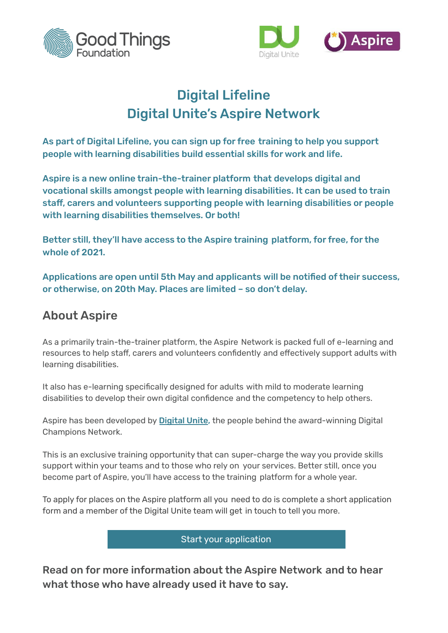



# Digital Lifeline Digital Unite's Aspire Network

As part of Digital Lifeline, you can sign up for free training to help you support people with learning disabilities build essential skills for work and life.

Aspire is a new online train-the-trainer platform that develops digital and vocational skills amongst people with learning disabilities. It can be used to train staff, carers and volunteers supporting people with learning disabilities or people with learning disabilities themselves. Or both!

Better still, they'll have access to the Aspire training platform, for free, for the whole of 2021.

Applications are open until 5th May and applicants will be notified of their success, or otherwise, on 20th May. Places are limited – so don't delay.

## About Aspire

As a primarily train-the-trainer platform, the Aspire Network is packed full of e-learning and resources to help staff, carers and volunteers confidently and effectively support adults with learning disabilities.

It also has e-learning specifically designed for adults with mild to moderate learning disabilities to develop their own digital confidence and the competency to help others.

Aspire has been developed by **[Digital](https://digitalunite.com/) Unite**, the people behind the award-winning Digital Champions Network.

This is an exclusive training opportunity that can super-charge the way you provide skills support within your teams and to those who rely on your services. Better still, once you become part of Aspire, you'll have access to the training platform for a whole year.

To apply for places on the Aspire platform all you need to do is complete a short application form and a member of the Digital Unite team will get in touch to tell you more.

Start your [application](https://www.digitalchampionsnetwork.com/content/digital-lifeline-aspire)

Read on for more information about the Aspire Network and to hear what those who have already used it have to say.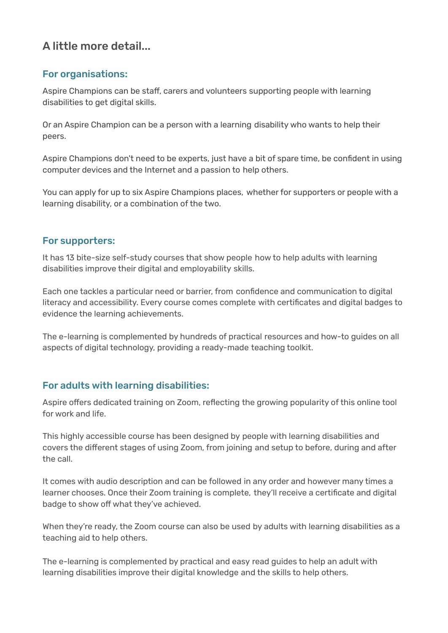### A little more detail...

#### For organisations:

Aspire Champions can be staff, carers and volunteers supporting people with learning disabilities to get digital skills.

Or an Aspire Champion can be a person with a learning disability who wants to help their peers.

Aspire Champions don't need to be experts, just have a bit of spare time, be confident in using computer devices and the Internet and a passion to help others.

You can apply for up to six Aspire Champions places, whether for supporters or people with a learning disability, or a combination of the two.

#### For supporters:

It has 13 bite-size self-study courses that show people how to help adults with learning disabilities improve their digital and employability skills.

Each one tackles a particular need or barrier, from confidence and communication to digital literacy and accessibility. Every course comes complete with certificates and digital badges to evidence the learning achievements.

The e-learning is complemented by hundreds of practical resources and how-to guides on all aspects of digital technology, providing a ready-made teaching toolkit.

#### For adults with learning disabilities:

Aspire offers dedicated training on Zoom, reflecting the growing popularity of this online tool for work and life.

This highly accessible course has been designed by people with learning disabilities and covers the different stages of using Zoom, from joining and setup to before, during and after the call.

It comes with audio description and can be followed in any order and however many times a learner chooses. Once their Zoom training is complete, they'll receive a certificate and digital badge to show off what they've achieved.

When they're ready, the Zoom course can also be used by adults with learning disabilities as a teaching aid to help others.

The e-learning is complemented by practical and easy read guides to help an adult with learning disabilities improve their digital knowledge and the skills to help others.